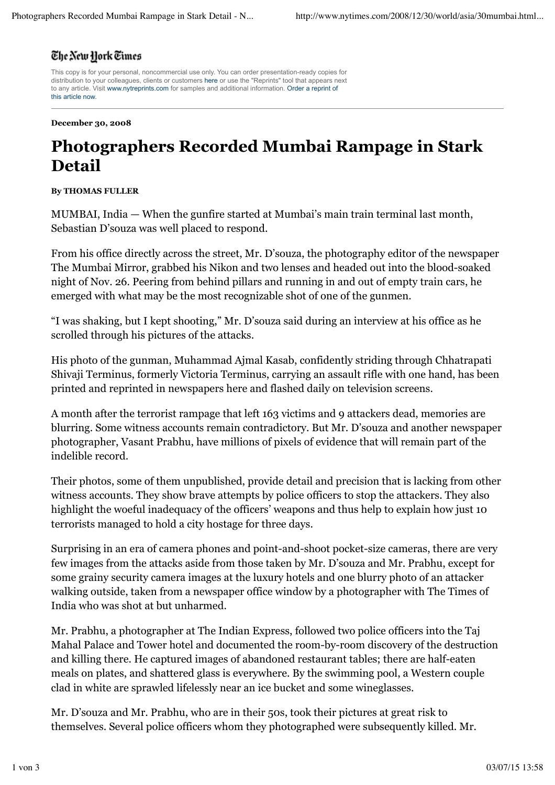## The New York Times

This copy is for your personal, noncommercial use only. You can order presentation-ready copies for distribution to your colleagues, clients or customers here or use the "Reprints" tool that appears next to any article. Visit www.nytreprints.com for samples and additional information. Order a reprint of this article now.

**December 30, 2008**

## **Photographers Recorded Mumbai Rampage in Stark Detail**

**By THOMAS FULLER**

MUMBAI, India — When the gunfire started at Mumbai's main train terminal last month, Sebastian D'souza was well placed to respond.

From his office directly across the street, Mr. D'souza, the photography editor of the newspaper The Mumbai Mirror, grabbed his Nikon and two lenses and headed out into the blood-soaked night of Nov. 26. Peering from behind pillars and running in and out of empty train cars, he emerged with what may be the most recognizable shot of one of the gunmen.

"I was shaking, but I kept shooting," Mr. D'souza said during an interview at his office as he scrolled through his pictures of the attacks.

His photo of the gunman, Muhammad Ajmal Kasab, confidently striding through Chhatrapati Shivaji Terminus, formerly Victoria Terminus, carrying an assault rifle with one hand, has been printed and reprinted in newspapers here and flashed daily on television screens.

A month after the terrorist rampage that left 163 victims and 9 attackers dead, memories are blurring. Some witness accounts remain contradictory. But Mr. D'souza and another newspaper photographer, Vasant Prabhu, have millions of pixels of evidence that will remain part of the indelible record.

Their photos, some of them unpublished, provide detail and precision that is lacking from other witness accounts. They show brave attempts by police officers to stop the attackers. They also highlight the woeful inadequacy of the officers' weapons and thus help to explain how just 10 terrorists managed to hold a city hostage for three days.

Surprising in an era of camera phones and point-and-shoot pocket-size cameras, there are very few images from the attacks aside from those taken by Mr. D'souza and Mr. Prabhu, except for some grainy security camera images at the luxury hotels and one blurry photo of an attacker walking outside, taken from a newspaper office window by a photographer with The Times of India who was shot at but unharmed.

Mr. Prabhu, a photographer at The Indian Express, followed two police officers into the Taj Mahal Palace and Tower hotel and documented the room-by-room discovery of the destruction and killing there. He captured images of abandoned restaurant tables; there are half-eaten meals on plates, and shattered glass is everywhere. By the swimming pool, a Western couple clad in white are sprawled lifelessly near an ice bucket and some wineglasses.

Mr. D'souza and Mr. Prabhu, who are in their 50s, took their pictures at great risk to themselves. Several police officers whom they photographed were subsequently killed. Mr.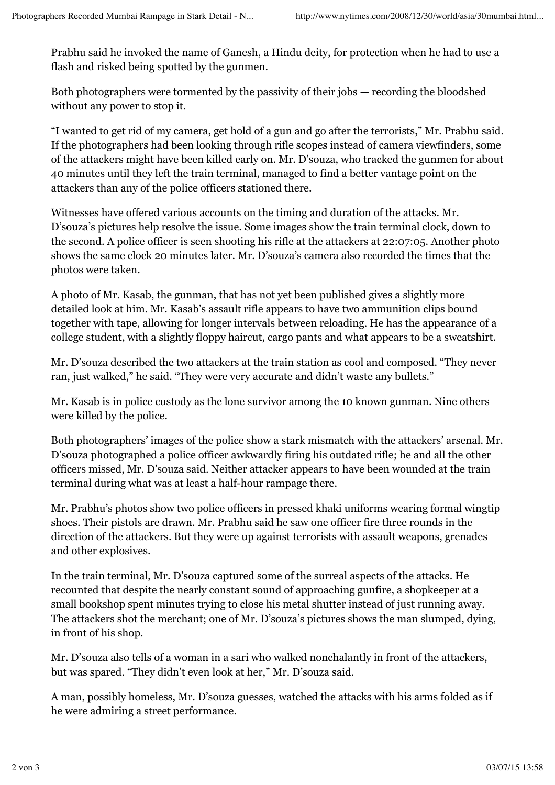Prabhu said he invoked the name of Ganesh, a Hindu deity, for protection when he had to use a flash and risked being spotted by the gunmen.

Both photographers were tormented by the passivity of their jobs — recording the bloodshed without any power to stop it.

"I wanted to get rid of my camera, get hold of a gun and go after the terrorists," Mr. Prabhu said. If the photographers had been looking through rifle scopes instead of camera viewfinders, some of the attackers might have been killed early on. Mr. D'souza, who tracked the gunmen for about 40 minutes until they left the train terminal, managed to find a better vantage point on the attackers than any of the police officers stationed there.

Witnesses have offered various accounts on the timing and duration of the attacks. Mr. D'souza's pictures help resolve the issue. Some images show the train terminal clock, down to the second. A police officer is seen shooting his rifle at the attackers at 22:07:05. Another photo shows the same clock 20 minutes later. Mr. D'souza's camera also recorded the times that the photos were taken.

A photo of Mr. Kasab, the gunman, that has not yet been published gives a slightly more detailed look at him. Mr. Kasab's assault rifle appears to have two ammunition clips bound together with tape, allowing for longer intervals between reloading. He has the appearance of a college student, with a slightly floppy haircut, cargo pants and what appears to be a sweatshirt.

Mr. D'souza described the two attackers at the train station as cool and composed. "They never ran, just walked," he said. "They were very accurate and didn't waste any bullets."

Mr. Kasab is in police custody as the lone survivor among the 10 known gunman. Nine others were killed by the police.

Both photographers' images of the police show a stark mismatch with the attackers' arsenal. Mr. D'souza photographed a police officer awkwardly firing his outdated rifle; he and all the other officers missed, Mr. D'souza said. Neither attacker appears to have been wounded at the train terminal during what was at least a half-hour rampage there.

Mr. Prabhu's photos show two police officers in pressed khaki uniforms wearing formal wingtip shoes. Their pistols are drawn. Mr. Prabhu said he saw one officer fire three rounds in the direction of the attackers. But they were up against terrorists with assault weapons, grenades and other explosives.

In the train terminal, Mr. D'souza captured some of the surreal aspects of the attacks. He recounted that despite the nearly constant sound of approaching gunfire, a shopkeeper at a small bookshop spent minutes trying to close his metal shutter instead of just running away. The attackers shot the merchant; one of Mr. D'souza's pictures shows the man slumped, dying, in front of his shop.

Mr. D'souza also tells of a woman in a sari who walked nonchalantly in front of the attackers, but was spared. "They didn't even look at her," Mr. D'souza said.

A man, possibly homeless, Mr. D'souza guesses, watched the attacks with his arms folded as if he were admiring a street performance.